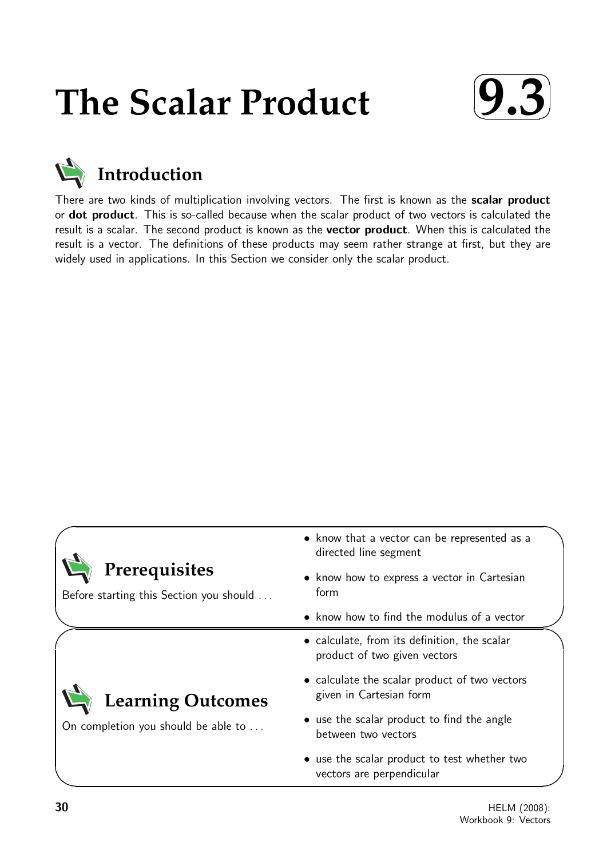# **The Scalar Product**





There are two kinds of multiplication involving vectors. The first is known as the scalar product or **dot product**. This is so-called because when the scalar product of two vectors is calculated the result is a scalar. The second product is known as the **vector product**. When this is calculated the result is a vector. The definitions of these products may seem rather strange at first, but they are widely used in applications. In this Section we consider only the scalar product.



Before starting this Section you should . . .

**Learning Outcomes**

On completion you should be able to ...

- know that a vector can be represented as a directed line segment
- know how to express a vector in Cartesian form
- know how to find the modulus of a vector
- calculate, from its definition, the scalar product of two given vectors
- calculate the scalar product of two vectors given in Cartesian form
- use the scalar product to find the angle between two vectors
- use the scalar product to test whether two vectors are perpendicular

 $\overline{\phantom{0}}$ 

✬

 $\searrow$ 

 $\geq$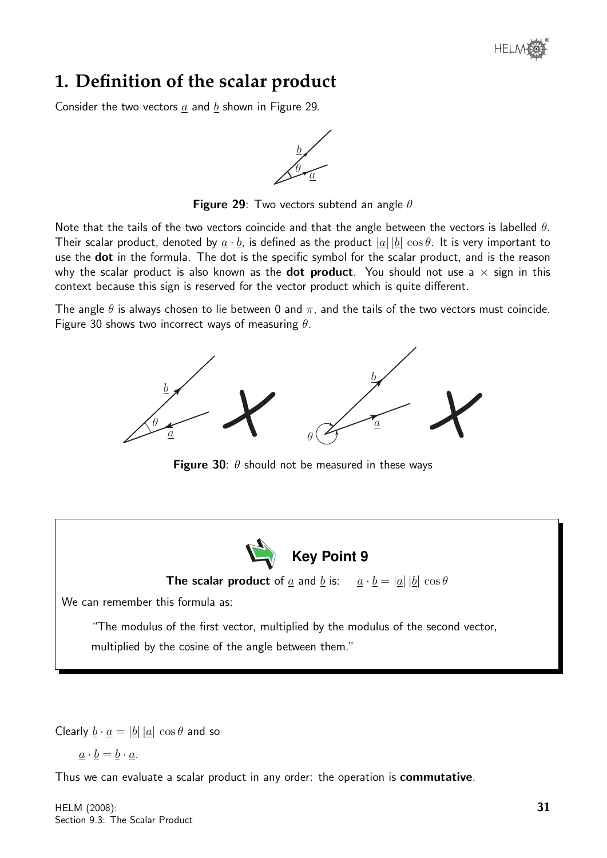

## **1. Definition of the scalar product**

Consider the two vectors  $a$  and  $b$  shown in Figure 29.

 $\tilde{a}$ b θ

**Figure 29**: Two vectors subtend an angle  $\theta$ 

Note that the tails of the two vectors coincide and that the angle between the vectors is labelled  $\theta$ . Their scalar product, denoted by  $a \cdot b$ , is defined as the product  $|a||b| \cos \theta$ . It is very important to use the **dot** in the formula. The dot is the specific symbol for the scalar product, and is the reason why the scalar product is also known as the **dot product**. You should not use a  $\times$  sign in this context because this sign is reserved for the vector product which is quite different.

The angle  $\theta$  is always chosen to lie between 0 and  $\pi$ , and the tails of the two vectors must coincide. Figure 30 shows two incorrect ways of measuring  $\theta$ .



**Figure 30**:  $\theta$  should not be measured in these ways



**The scalar product** of <u>a</u> and <u>b</u> is:  $a \cdot b = |a||b| \cos \theta$ 

We can remember this formula as:

"The modulus of the first vector, multiplied by the modulus of the second vector, multiplied by the cosine of the angle between them."

Clearly  $\underline{b} \cdot \underline{a} = |\underline{b}| |\underline{a}| \cos \theta$  and so

$$
\underline{a} \cdot \underline{b} = \underline{b} \cdot \underline{a}.
$$

Thus we can evaluate a scalar product in any order: the operation is **commutative**.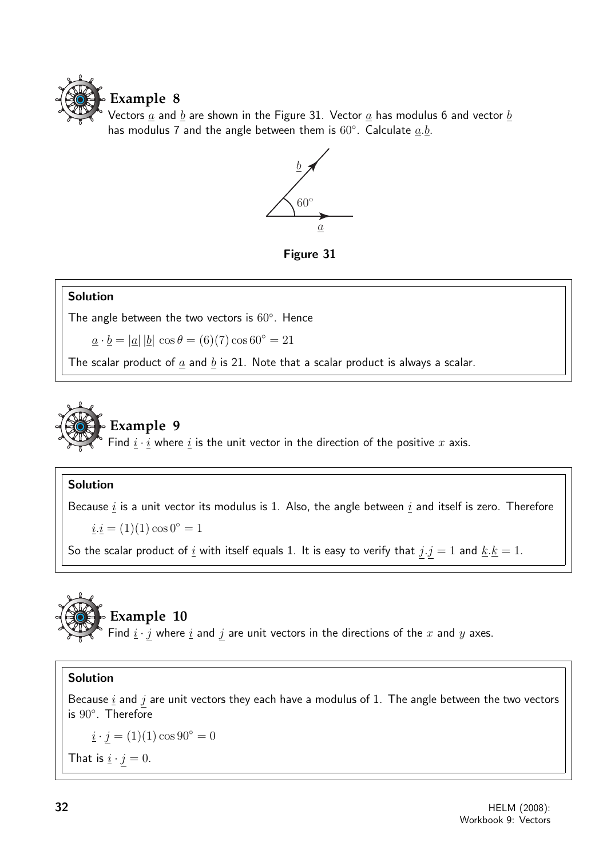

Vectors  $\underline{a}$  and  $\underline{b}$  are shown in the Figure 31. Vector  $\underline{a}$  has modulus 6 and vector  $\underline{b}$ has modulus 7 and the angle between them is  $60^{\circ}$ . Calculate  $\underline{a}.\underline{b}$ .



Figure 31

#### Solution

The angle between the two vectors is  $60^{\circ}$ . Hence

 $a \cdot b = |a| |b| \cos \theta = (6)(7) \cos 60^\circ = 21$ 

The scalar product of  $\underline{a}$  and  $\underline{b}$  is 21. Note that a scalar product is always a scalar.



## **Example 9**

Find  $\underline{i} \cdot \overline{i}$  where  $\underline{i}$  is the unit vector in the direction of the positive x axis.

#### Solution

Because  $i$  is a unit vector its modulus is 1. Also, the angle between  $i$  and itself is zero. Therefore

 $i \underline{i} = (1)(1) \cos 0^\circ = 1$ 

So the scalar product of  $\underline{i}$  with itself equals 1. It is easy to verify that  $j.j = 1$  and  $\underline{k}.\underline{k} = 1$ .



# **Example 10**

Find  $\underline{i} \cdot \underline{j}$  where  $\underline{i}$  and  $\underline{j}$  are unit vectors in the directions of the  $x$  and  $y$  axes.

#### Solution

Because  $i$  and  $j$  are unit vectors they each have a modulus of 1. The angle between the two vectors is 90◦ . Therefore

 $i \cdot j = (1)(1) \cos 90^\circ = 0$ That is  $\underline{i} \cdot \underline{j} = 0$ .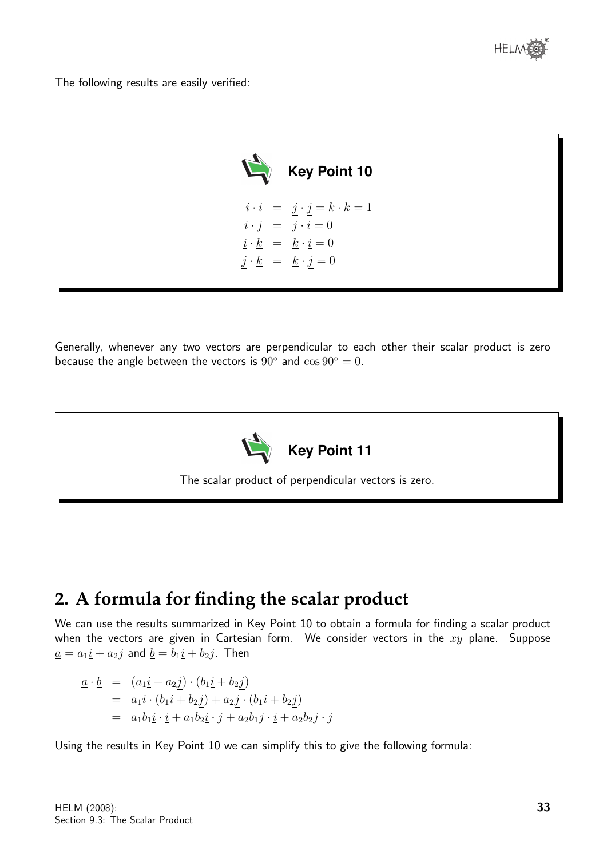

The following results are easily verified:



Generally, whenever any two vectors are perpendicular to each other their scalar product is zero because the angle between the vectors is  $90^\circ$  and  $\cos 90^\circ = 0$ .



The scalar product of perpendicular vectors is zero.

# **2. A formula for finding the scalar product**

We can use the results summarized in Key Point 10 to obtain a formula for finding a scalar product when the vectors are given in Cartesian form. We consider vectors in the  $xy$  plane. Suppose  $\underline{a} = a_1 \underline{i} + a_2 \underline{j}$  and  $\underline{b} = b_1 \underline{i} + b_2 \underline{j}$ . Then

$$
\begin{array}{rcl}\n\underline{a} \cdot \underline{b} & = & (a_1 \underline{i} + a_2 \underline{j}) \cdot (b_1 \underline{i} + b_2 \underline{j}) \\
& = & a_1 \underline{i} \cdot (b_1 \underline{i} + b_2 \underline{j}) + a_2 \underline{j} \cdot (b_1 \underline{i} + b_2 \underline{j}) \\
& = & a_1 b_1 \underline{i} \cdot \underline{i} + a_1 b_2 \underline{i} \cdot \underline{j} + a_2 b_1 \underline{j} \cdot \underline{i} + a_2 b_2 \underline{j} \cdot \underline{j}\n\end{array}
$$

Using the results in Key Point 10 we can simplify this to give the following formula: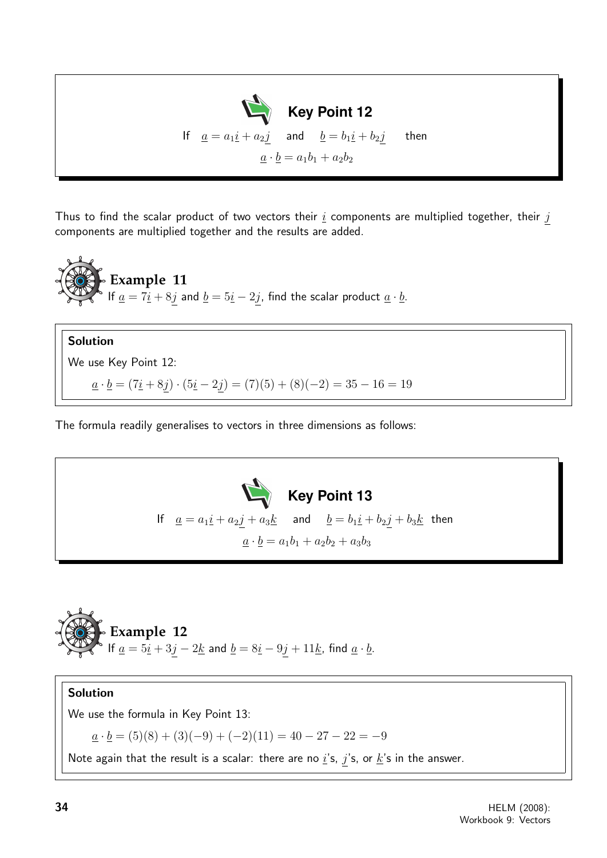

Thus to find the scalar product of two vectors their  $i$  components are multiplied together, their  $j$ components are multiplied together and the results are added.



Solution We use Key Point 12:  $\underline{a} \cdot \underline{b} = (7\underline{i} + 8\underline{j}) \cdot (5\underline{i} - 2\underline{j}) = (7)(5) + (8)(-2) = 35 - 16 = 19$ 

The formula readily generalises to vectors in three dimensions as follows:





#### Solution

We use the formula in Key Point 13:

 $\underline{a} \cdot \underline{b} = (5)(8) + (3)(-9) + (-2)(11) = 40 - 27 - 22 = -9$ 

Note again that the result is a scalar: there are no  $i$ 's,  $j$ 's, or  $\underline{k}$ 's in the answer.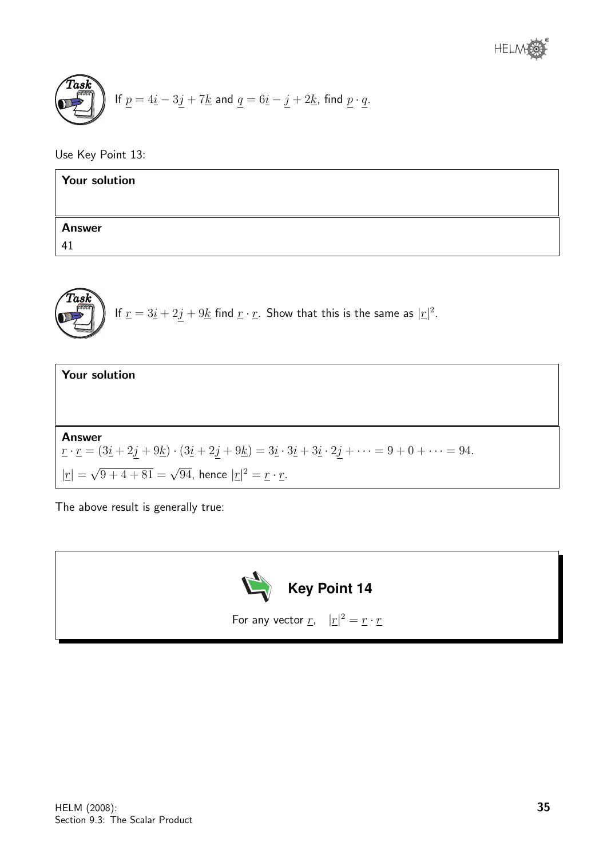$$
\underbrace{\text{Task}}_{\text{if } p = 4\underline{i} - 3\underline{j} + 7\underline{k} \text{ and } \underline{q} = 6\underline{i} - \underline{j} + 2\underline{k}, \text{ find } \underline{p} \cdot \underline{q}.
$$

Use Key Point 13:

| <b>Your solution</b> |  |
|----------------------|--|
|                      |  |
| <b>Answer</b>        |  |
| 41                   |  |

**Task** If 
$$
\underline{r} = 3\underline{i} + 2\underline{j} + 9\underline{k}
$$
 find  $\underline{r} \cdot \underline{r}$ . Show that this is the same as  $|\underline{r}|^2$ .

| <b>Your solution</b>                                                                                                                                                                                                              |
|-----------------------------------------------------------------------------------------------------------------------------------------------------------------------------------------------------------------------------------|
|                                                                                                                                                                                                                                   |
|                                                                                                                                                                                                                                   |
| <b>Answer</b>                                                                                                                                                                                                                     |
| $\lbrack \underline{r} \cdot \underline{r} = (3\underline{i} + 2j + 9\underline{k}) \cdot (3\underline{i} + 2j + 9\underline{k}) = 3\underline{i} \cdot 3\underline{i} + 3\underline{i} \cdot 2j + \cdots = 9 + 0 + \cdots = 94.$ |
| $ \underline{r}  = \sqrt{9+4+81} = \sqrt{94}$ , hence $ \underline{r} ^2 = \underline{r} \cdot \underline{r}$ .                                                                                                                   |

The above result is generally true:

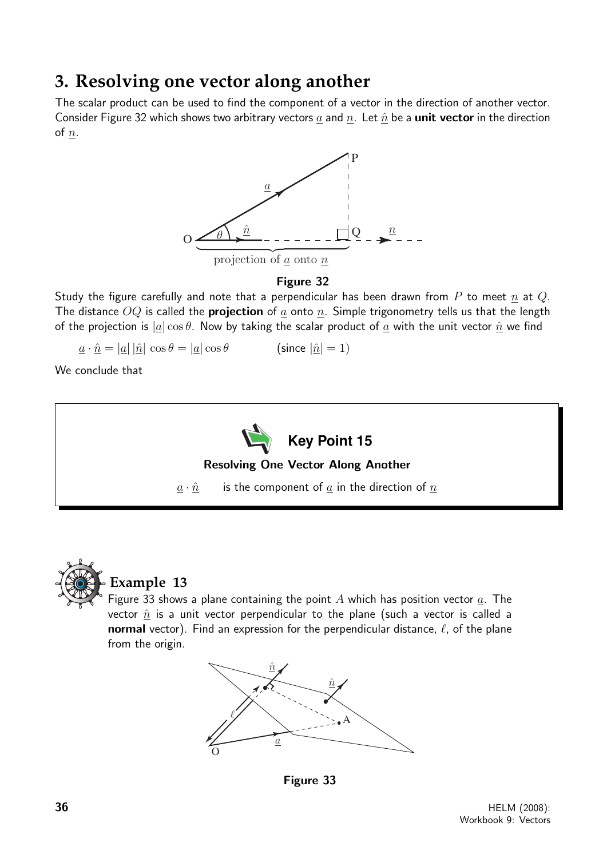# **3. Resolving one vector along another**

The scalar product can be used to find the component of a vector in the direction of another vector. Consider Figure 32 which shows two arbitrary vectors a and n. Let  $\hat{n}$  be a **unit vector** in the direction of  $\underline{n}$ .



#### Figure 32

Study the figure carefully and note that a perpendicular has been drawn from P to meet n at Q. The distance  $OQ$  is called the **projection** of  $\underline{a}$  onto  $\underline{n}$ . Simple trigonometry tells us that the length of the projection is  $|a| \cos \theta$ . Now by taking the scalar product of  $\underline{a}$  with the unit vector  $\underline{\hat{n}}$  we find

 $\underline{a} \cdot \hat{\underline{n}} = |\underline{a}| |\hat{\underline{n}}| \cos \theta = |\underline{a}| \cos \theta$  (since  $|\hat{\underline{n}}| = 1$ )

We conclude that





## **Example 13**

Figure 33 shows a plane containing the point  $A$  which has position vector  $a$ . The vector  $\hat{n}$  is a unit vector perpendicular to the plane (such a vector is called a normal vector). Find an expression for the perpendicular distance,  $\ell$ , of the plane from the origin.



Figure 33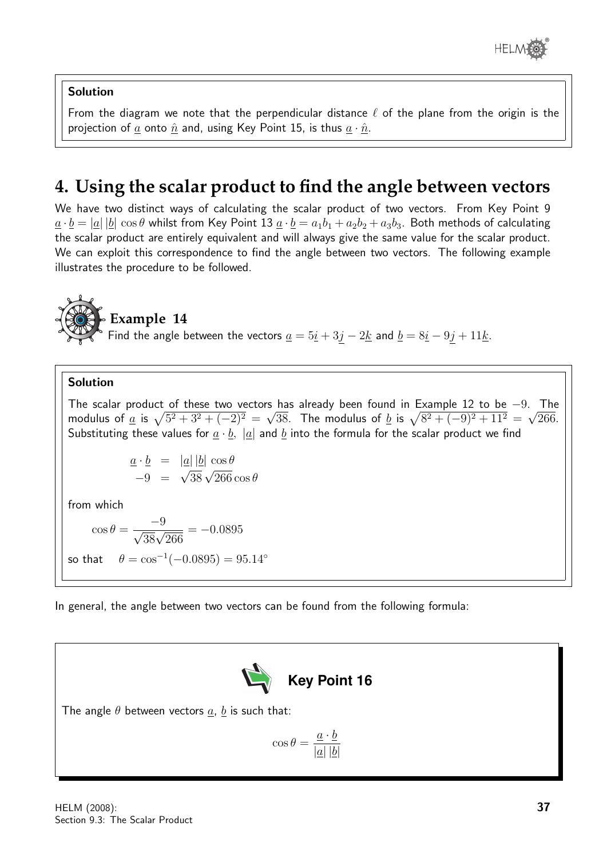

#### Solution

From the diagram we note that the perpendicular distance  $\ell$  of the plane from the origin is the projection of a onto  $\hat{n}$  and, using Key Point 15, is thus  $a \cdot \hat{n}$ .

# **4. Using the scalar product to find the angle between vectors**

We have two distinct ways of calculating the scalar product of two vectors. From Key Point 9  $\underline{a} \cdot \underline{b} = |\underline{a}| |\underline{b}| \cos \theta$  whilst from Key Point 13  $\underline{a} \cdot \underline{b} = a_1b_1 + a_2b_2 + a_3b_3$ . Both methods of calculating the scalar product are entirely equivalent and will always give the same value for the scalar product. We can exploit this correspondence to find the angle between two vectors. The following example illustrates the procedure to be followed.



### **Example 14**

Find the angle between the vectors  $\underline{a} = 5\underline{i} + 3\underline{j} - 2\underline{k}$  and  $\underline{b} = 8\underline{i} - 9\underline{j} + 11\underline{k}$ .

#### Solution

The scalar product of these two vectors has already been found in Example 12 to be  $-9$ . The modulus of <u>a</u> is  $\sqrt{5^2 + 3^2 + (-2)^2} = \sqrt{38}$ . The modulus of <u>b</u> is  $\sqrt{8^2 + (-9)^2 + 11^2} = \sqrt{266}$ . Substituting these values for  $\underline{a} \cdot \underline{b}$ ,  $|\underline{a}|$  and  $\underline{b}$  into the formula for the scalar product we find

$$
\begin{array}{rcl}\n\underline{a} \cdot \underline{b} & = & |\underline{a}| |\underline{b}| \, \cos \theta \\
-9 & = & \sqrt{38} \sqrt{266} \cos \theta\n\end{array}
$$

from which

$$
\cos \theta = \frac{-9}{\sqrt{38}\sqrt{266}} = -0.0895
$$
  
so that  $\theta = \cos^{-1}(-0.0895) = 95.14^{\circ}$ 

In general, the angle between two vectors can be found from the following formula:



The angle  $\theta$  between vectors  $\underline{a}$ ,  $\underline{b}$  is such that:

$$
\cos \theta = \frac{\underline{a} \cdot \underline{b}}{|\underline{a}| |\underline{b}|}
$$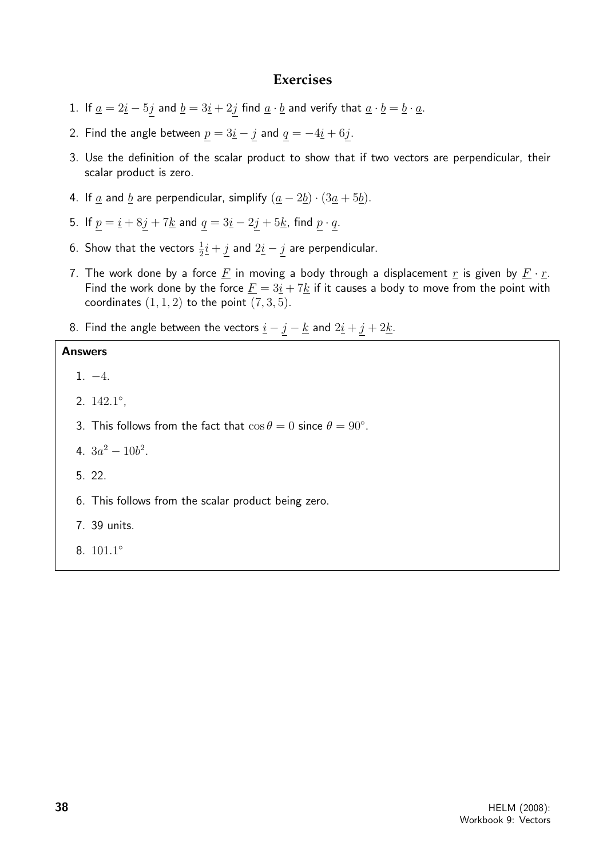#### **Exercises**

- 1. If  $\underline{a} = 2\underline{i} 5\underline{j}$  and  $\underline{b} = 3\underline{i} + 2\underline{j}$  find  $\underline{a} \cdot \underline{b}$  and verify that  $\underline{a} \cdot \underline{b} = \underline{b} \cdot \underline{a}$ .
- 2. Find the angle between  $\underline{p} = 3\underline{i} \underline{j}$  and  $\underline{q} = -4\underline{i} + 6\underline{j}$ .
- 3. Use the definition of the scalar product to show that if two vectors are perpendicular, their scalar product is zero.
- 4. If  $\underline{a}$  and  $\underline{b}$  are perpendicular, simplify  $(\underline{a} 2\underline{b}) \cdot (3\underline{a} + 5\underline{b})$ .
- 5. If  $p = \underline{i} + 8\underline{j} + 7\underline{k}$  and  $q = 3\underline{i} 2\underline{j} + 5\underline{k}$ , find  $p \cdot q$ .
- 6. Show that the vectors  $\frac{1}{2}\underline{i} + \underline{j}$  and  $2\underline{i} \underline{j}$  are perpendicular.
- 7. The work done by a force  $F$  in moving a body through a displacement  $r$  is given by  $F \cdot r$ . Find the work done by the force  $\underline{F} = 3\underline{i} + 7\underline{k}$  if it causes a body to move from the point with coordinates  $(1, 1, 2)$  to the point  $(7, 3, 5)$ .
- 8. Find the angle between the vectors  $\underline{i} \underline{j} \underline{k}$  and  $2\underline{i} + \underline{j} + 2\underline{k}$ .

#### Answers

1. −4.

- 2. 142.1 ,
- 3. This follows from the fact that  $\cos \theta = 0$  since  $\theta = 90^{\circ}$ .
- 4.  $3a^2 10b^2$ .
- 5. 22.
- 6. This follows from the scalar product being zero.
- 7. 39 units.
- 8. 101.1 ◦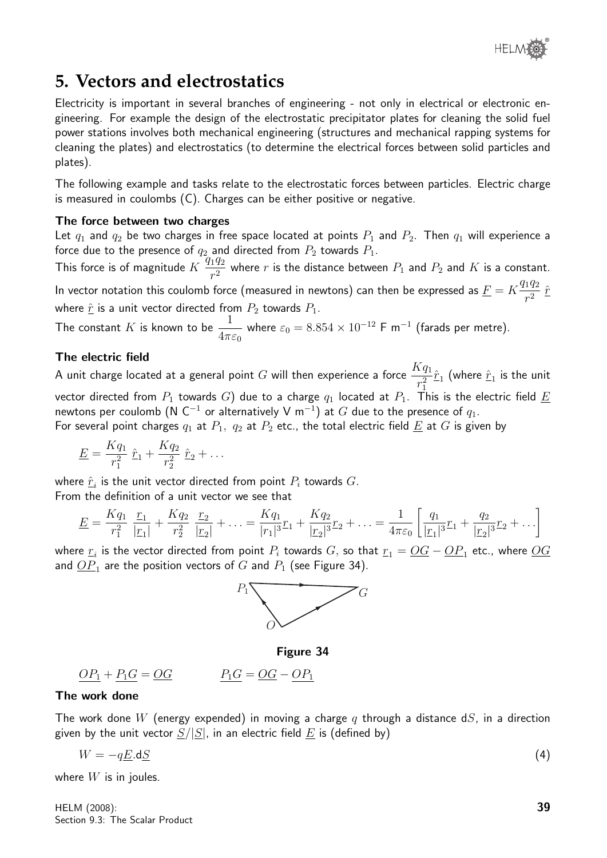

## **5. Vectors and electrostatics**

Electricity is important in several branches of engineering - not only in electrical or electronic engineering. For example the design of the electrostatic precipitator plates for cleaning the solid fuel power stations involves both mechanical engineering (structures and mechanical rapping systems for cleaning the plates) and electrostatics (to determine the electrical forces between solid particles and plates).

The following example and tasks relate to the electrostatic forces between particles. Electric charge is measured in coulombs (C). Charges can be either positive or negative.

#### The force between two charges

Let  $q_1$  and  $q_2$  be two charges in free space located at points  $P_1$  and  $P_2$ . Then  $q_1$  will experience a force due to the presence of  $q_2$  and directed from  $P_2$  towards  $P_1$ .

This force is of magnitude  $K \frac{q_1 q_2}{r^2}$  $\frac{142}{r^2}$  where r is the distance between  $P_1$  and  $P_2$  and  $K$  is a constant. In vector notation this coulomb force (measured in newtons) can then be expressed as  $\underline{F} = K \frac{q_1 q_2}{r^2}$  $rac{1}{r^2}$   $\hat{r}$ where  $\hat{r}$  is a unit vector directed from  $P_2$  towards  $P_1$ .

The constant  $K$  is known to be  $\frac{1}{4}$  $4\pi\varepsilon_0$ where  $\varepsilon_0 = 8.854 \times 10^{-12}$  F m $^{-1}$  (farads per metre).

#### The electric field

A unit charge located at a general point  $G$  will then experience a force  $\frac{Kq_{1}}{2}$  $r_1^2$  $\hat r_1$  (where  $\hat r_1$  is the unit vector directed from  $P_1$  towards G) due to a charge  $q_1$  located at  $P_1$ . This is the electric field  $\underline{E}$ newtons per coulomb ( ${\sf N}$   ${\sf C}^{-1}$  or alternatively  ${\sf V}$  m $^{-1})$  at  $G$  due to the presence of  $q_1.$ For several point charges  $q_1$  at  $P_1$ ,  $q_2$  at  $P_2$  etc., the total electric field  $E$  at G is given by

$$
\underline{E} = \frac{Kq_1}{r_1^2} \hat{r}_1 + \frac{Kq_2}{r_2^2} \hat{r}_2 + \dots
$$

where  $\hat{\underline{r}}_i$  is the unit vector directed from point  $P_i$  towards  $G.$ From the definition of a unit vector we see that

$$
\underline{E} = \frac{Kq_1}{r_1^2} \frac{r_1}{|r_1|} + \frac{Kq_2}{r_2^2} \frac{r_2}{|r_2|} + \dots = \frac{Kq_1}{|r_1|^3} r_1 + \frac{Kq_2}{|r_2|^3} r_2 + \dots = \frac{1}{4\pi\varepsilon_0} \left[ \frac{q_1}{|r_1|^3} r_1 + \frac{q_2}{|r_2|^3} r_2 + \dots \right]
$$

where  $\mathbf{r}_i$  is the vector directed from point  $P_i$  towards  $G,$  so that  $\mathbf{r}_1 = \underline{OG} - \underline{OP}_1$  etc., where  $\underline{OG}$ and  $\overline{OP}_1$  are the position vectors of  $G$  and  $P_1$  (see Figure 34).



Figure 34

$$
\underline{OP_1} + \underline{P_1G} = \underline{OG} \qquad \qquad \underline{P_1G} = \underline{OG} - \underline{OP_1}
$$

#### The work done

The work done W (energy expended) in moving a charge q through a distance dS, in a direction given by the unit vector  $S/|S|$ , in an electric field  $E$  is (defined by)

$$
W = -q\underline{E}.\mathrm{d}\underline{S} \tag{4}
$$

where  $W$  is in joules.

HELM (2008): Section 9.3: The Scalar Product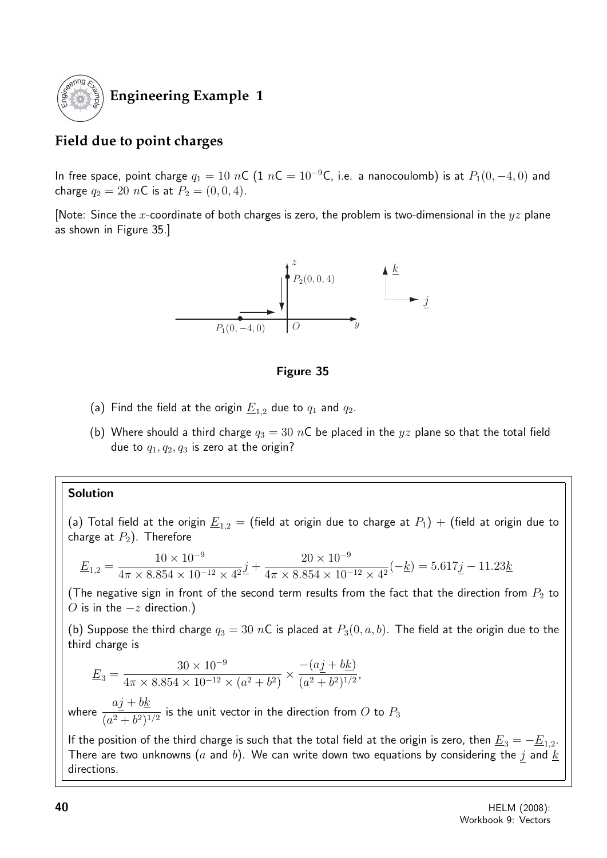

## **Engineering Example 1**

## **Field due to point charges**

In free space, point charge  $q_1 = 10$  nC (1 nC =  $10^{-9}$ C, i.e. a nanocoulomb) is at  $P_1(0, -4, 0)$  and charge  $q_2 = 20$  nC is at  $P_2 = (0, 0, 4)$ .

[Note: Since the x-coordinate of both charges is zero, the problem is two-dimensional in the  $yz$  plane as shown in Figure 35.]



#### Figure 35

- (a) Find the field at the origin  $\underline{E}_{1,2}$  due to  $q_1$  and  $q_2$ .
- (b) Where should a third charge  $q_3 = 30 \text{ nC}$  be placed in the  $yz$  plane so that the total field due to  $q_1, q_2, q_3$  is zero at the origin?

#### Solution

(a) Total field at the origin  $\underline{E}_{1,2}$  = (field at origin due to charge at  $P_1$ ) + (field at origin due to charge at  $P_2$ ). Therefore

$$
\underline{E}_{1,2} = \frac{10 \times 10^{-9}}{4\pi \times 8.854 \times 10^{-12} \times 4^2} \underline{j} + \frac{20 \times 10^{-9}}{4\pi \times 8.854 \times 10^{-12} \times 4^2} (-\underline{k}) = 5.617 \underline{j} - 11.23 \underline{k}
$$

(The negative sign in front of the second term results from the fact that the direction from  $P_2$  to O is in the  $-z$  direction.)

(b) Suppose the third charge  $q_3 = 30$  nC is placed at  $P_3(0, a, b)$ . The field at the origin due to the third charge is

$$
\underline{E}_3 = \frac{30 \times 10^{-9}}{4\pi \times 8.854 \times 10^{-12} \times (a^2 + b^2)} \times \frac{-(aj + bk)}{(a^2 + b^2)^{1/2}},
$$

where  $aj + b\underline{k}$  $\frac{2}{(a^2+b^2)^{1/2}}$  is the unit vector in the direction from O to  $P_3$ 

If the position of the third charge is such that the total field at the origin is zero, then  $\underline{E}_3=-\underline{E}_{1,2}.$ There are two unknowns (a and b). We can write down two equations by considering the j and  $\underline{k}$ directions.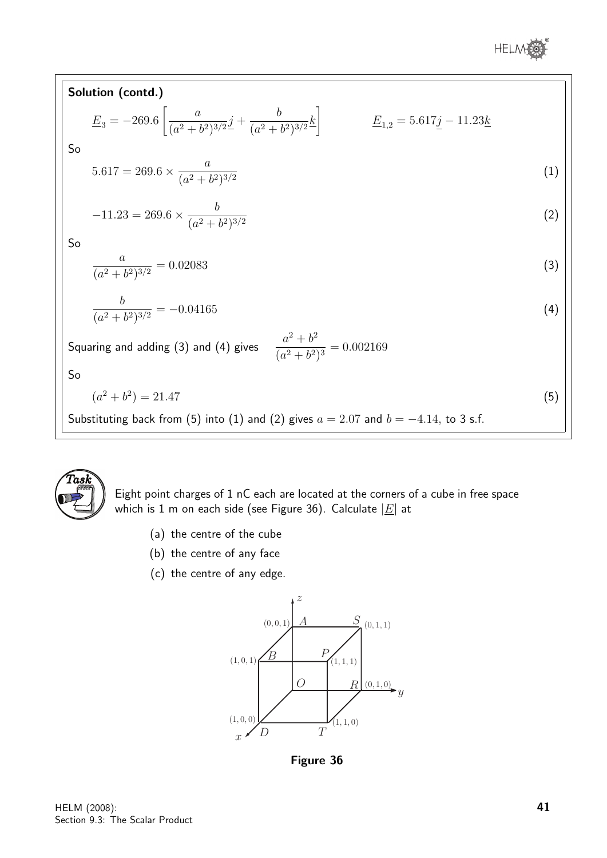

| Solution (contd.)                                                                                                                                                                      |     |
|----------------------------------------------------------------------------------------------------------------------------------------------------------------------------------------|-----|
| $\underline{E}_3 = -269.6 \left[ \frac{a}{(a^2 + b^2)^{3/2}} \underline{j} + \frac{b}{(a^2 + b^2)^{3/2}} \underline{k} \right]$<br>$\underline{E}_{1,2} = 5.617j - 11.23\underline{k}$ |     |
| So                                                                                                                                                                                     |     |
| $5.617 = 269.6 \times \frac{a}{(a^2 + b^2)^{3/2}}$                                                                                                                                     | (1) |
| $-11.23 = 269.6 \times \frac{b}{(a^2 + b^2)^{3/2}}$                                                                                                                                    | (2) |
| So                                                                                                                                                                                     |     |
| $\frac{a}{(a^2+b^2)^{3/2}}=0.02083$                                                                                                                                                    | (3) |
| $\frac{b}{(a^2 + b^2)^{3/2}} = -0.04165$                                                                                                                                               | (4) |
| Squaring and adding (3) and (4) gives $\frac{a^2 + b^2}{(a^2 + b^2)^3} = 0.002169$                                                                                                     |     |
| So                                                                                                                                                                                     |     |
| $(a^{2}+b^{2})=21.47$                                                                                                                                                                  | (5) |
| Substituting back from (5) into (1) and (2) gives $a = 2.07$ and $b = -4.14$ , to 3 s.f.                                                                                               |     |



Eight point charges of 1 nC each are located at the corners of a cube in free space which is 1 m on each side (see Figure 36). Calculate  $|E|$  at

- (a) the centre of the cube
- (b) the centre of any face
- (c) the centre of any edge.



Figure 36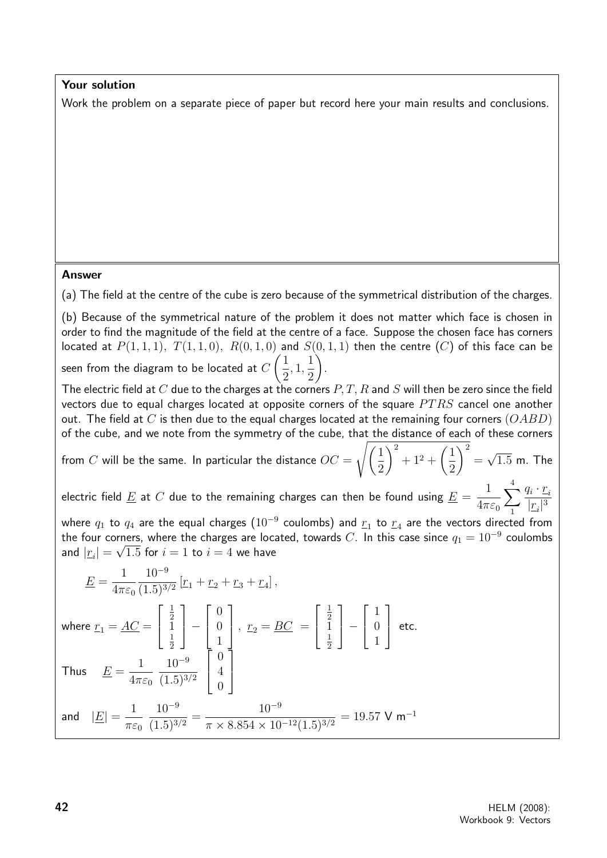#### Your solution

Work the problem on a separate piece of paper but record here your main results and conclusions.

#### Answer

(a) The field at the centre of the cube is zero because of the symmetrical distribution of the charges.

(b) Because of the symmetrical nature of the problem it does not matter which face is chosen in order to find the magnitude of the field at the centre of a face. Suppose the chosen face has corners located at  $P(1,1,1)$ ,  $T(1,1,0)$ ,  $R(0,1,0)$  and  $S(0,1,1)$  then the centre  $(C)$  of this face can be seen from the diagram to be located at  $C$  $\sqrt{1}$ 2 , 1, 1 2  $\setminus$ .

The electric field at C due to the charges at the corners  $P, T, R$  and S will then be zero since the field vectors due to equal charges located at opposite corners of the square  $PTRS$  cancel one another out. The field at C is then due to the equal charges located at the remaining four corners  $(OABD)$ of the cube, and we note from the symmetry of the cube, that the distance of each of these corners

from  $C$  will be the same. In particular the distance  $OC = \mathbb{R}$  $\sqrt{1}$ 2  $\setminus^2$  $+1^2+\left(\frac{1}{2}\right)$ 2

electric field  $\underline{E}$  at  $C$  due to the remaining charges can then be found using  $\underline{E} =$ 1  $4\pi\varepsilon_0$  $\sum_{i=1}^{4} \frac{q_i \cdot \underline{r}_i}{\cdots}$ 4  $|\underline{r}_i|^3$ 

where  $q_1$  to  $q_4$  are the equal charges  $(10^{-9}$  coulombs) and  $\underline{r}_1$  to  $\underline{r}_4$  are the vectors directed from the four corners, where the charges are located, towards C. In this case since  $q_1 = 10^{-9}$  coulombs and  $|\underline{r}_i|=\sqrt{1.5}$  for  $i=1$  to  $i=4$  we have

$$
\underline{E} = \frac{1}{4\pi\varepsilon_0} \frac{10^{-9}}{(1.5)^{3/2}} \left[ r_1 + r_2 + r_3 + r_4 \right],
$$
  
\nwhere  $r_1 = \underline{AC} = \begin{bmatrix} \frac{1}{2} \\ 1 \\ \frac{1}{2} \end{bmatrix} - \begin{bmatrix} 0 \\ 0 \\ 1 \end{bmatrix}$ ,  $r_2 = \underline{BC} = \begin{bmatrix} \frac{1}{2} \\ 1 \\ \frac{1}{2} \end{bmatrix} - \begin{bmatrix} 1 \\ 0 \\ 1 \end{bmatrix}$  etc.  
\nThus  $\underline{E} = \frac{1}{4\pi\varepsilon_0} \frac{10^{-9}}{(1.5)^{3/2}} \begin{bmatrix} 0 \\ 4 \\ 0 \end{bmatrix}$   
\nand  $|\underline{E}| = \frac{1}{\pi\varepsilon_0} \frac{10^{-9}}{(1.5)^{3/2}} = \frac{10^{-9}}{\pi \times 8.854 \times 10^{-12} (1.5)^{3/2}} = 19.57 \text{ V m}^{-1}$ 

 $\setminus^2$ = √

 $1.5$  m. The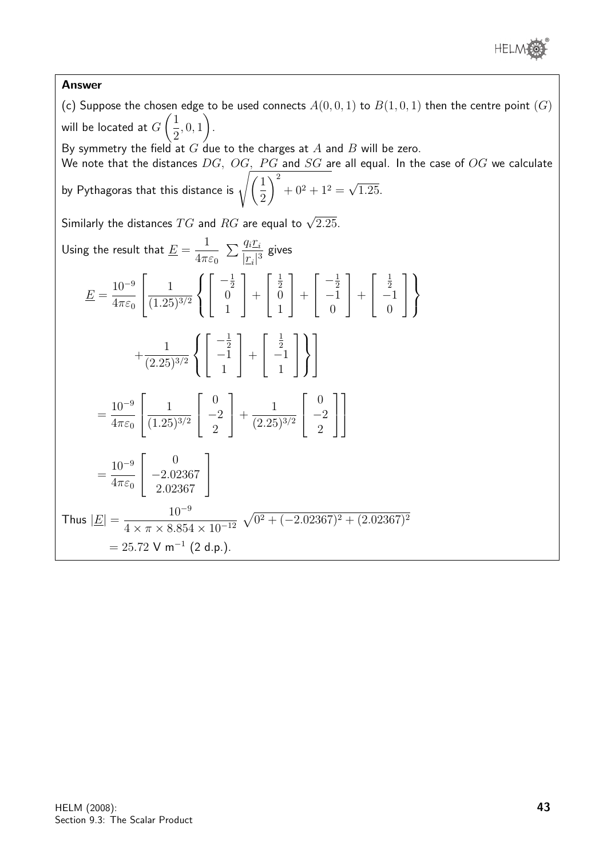

#### Answer

(c) Suppose the chosen edge to be used connects  $A(0,0,1)$  to  $B(1,0,1)$  then the centre point  $(G)$ will be located at  $G$  $\sqrt{1}$ 2 , 0, 1  $\setminus$ . By symmetry the field at  $G$  due to the charges at  $A$  and  $B$  will be zero. We note that the distances  $DG$ ,  $OG$ ,  $PG$  and  $SG$  are all equal. In the case of  $OG$  we calculate by Pythagoras that this distance is  $\sqrt{\left(\frac{1}{2}\right)^2}$ 2  $\setminus^2$  $+ 0^2 + 1^2 =$ √ 1.25. Similarly the distances  $TG$  and  $RG$  are equal to  $\sqrt{2.25}$ . Using the result that  $\underline{E} =$ 1  $4\pi\varepsilon_0$  $\sum_{i} \frac{q_i r_i}{\sqrt{q_i}}$  $rac{4i}{|r_i|^3}$  gives  $E =$  $10^{-9}$  $4\pi\varepsilon_0$  $\sqrt{ }$  $\overline{\phantom{a}}$ 1  $(1.25)^{3/2}$  $\sqrt{ }$  $\int$  $\mathcal{L}$  $\sqrt{ }$  $\overline{\phantom{a}}$  $-\frac{1}{2}$  $\begin{bmatrix} 2 \\ 0 \end{bmatrix}$ 1 1  $| +$  $\sqrt{ }$  $\overline{\phantom{a}}$ 1 2 0 1 1  $| +$  $\sqrt{ }$  $\overline{\phantom{a}}$  $-\frac{1}{2}$  $^{-2}$ 0 1  $| +$  $\sqrt{ }$  $\overline{\phantom{a}}$ 1  $\frac{2}{-1}$  $\theta$ 1  $\overline{1}$  $\mathcal{L}$  $\mathcal{L}$  $\int$  $+$ 1  $(2.25)^{3/2}$  $\sqrt{ }$  $\int$  $\mathcal{L}$  $\sqrt{ }$  $\overline{1}$  $-\frac{1}{2}$  $^{-2}$ 1 1  $| +$  $\sqrt{ }$  $\overline{\phantom{a}}$ 1  $\frac{2}{-1}$ 1 1  $\overline{1}$  $\mathcal{L}$  $\mathcal{L}$  $\int$ 1  $\overline{1}$ =  $10^{-9}$  $4\pi\varepsilon_0$  $\sqrt{ }$  $\overline{\phantom{a}}$ 1  $(1.25)^{3/2}$  $\sqrt{ }$  $\overline{\phantom{a}}$ 0  $-2$ 2 1  $| +$ 1  $(2.25)^{3/2}$  $\sqrt{ }$  $\overline{\phantom{a}}$ 0  $-2$ 2 1  $\overline{1}$ 1  $\frac{1}{2}$ =  $10^{-9}$  $4\pi\varepsilon_0$  $\sqrt{ }$  $\overline{1}$  $\overline{0}$ −2.02367 2.02367 1  $\overline{1}$ Thus  $|\underline{E}| =$  $10^{-9}$  $4 \times \pi \times 8.854 \times 10^{-12}$  $\sqrt{0^2 + (-2.02367)^2 + (2.02367)^2}$  $= 25.72$  V m<sup>-1</sup> (2 d.p.).